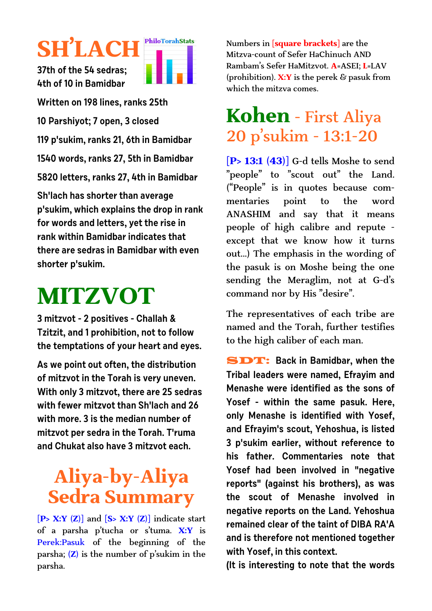# **SH'LACH**

**PhiloTorahStats** 

**37th of the 54 sedras; 4th of 10 in Bamidbar**

**Written on 198 lines, ranks 25th**

**10 Parshiyot; 7 open, 3 closed** 

**119 p'sukim, ranks 21, 6th in Bamidbar**

**1540 words, ranks 27, 5th in Bamidbar**

**5820 letters, ranks 27, 4th in Bamidbar**

**Sh'lach has shorter than average p'sukim, which explains the drop in rank for words and letters, yet the rise in rank within Bamidbar indicates that there are sedras in Bamidbar with even shorter p'sukim.**

# **MITZVOT**

**3 mitzvot - 2 positives - Challah & Tzitzit, and 1 prohibition, not to follow the temptations of your heart and eyes.**

**As we point out often, the distribution of mitzvot in the Torah is very uneven. With only 3 mitzvot, there are 25 sedras with fewer mitzvot than Sh'lach and 26 with more. 3 is the median number of mitzvot per sedra in the Torah. T'ruma and Chukat also have 3 mitzvot each.**

# **Aliya-by-Aliya Sedra Summary**

**[P> X:Y (Z)]** and **[S> X:Y (Z)]** indicate start of a parsha p'tucha or s'tuma. **X:Y** is Perek:Pasuk of the beginning of the parsha; **(Z)** is the number of p'sukim in the parsha.

Numbers in **[square brackets]** are the Mitzva-count of Sefer HaChinuch AND Rambam's Sefer HaMitzvot. **A**=ASEI; **L**=LAV (prohibition). **X:Y** is the perek & pasuk from which the mitzva comes.

## **Kohen** - First Aliya 20 p'sukim - 13:1-20

**[P> 13:1 (43)]** G-d tells Moshe to send "people" to "scout out" the Land. ("People" is in quotes because commentaries point to the word ANASHIM and say that it means people of high calibre and repute except that we know how it turns out...) The emphasis in the wording of the pasuk is on Moshe being the one sending the Meraglim, not at G-d's command nor by His "desire".

The representatives of each tribe are named and the Torah, further testifies to the high caliber of each man.

SDT: **Back in Bamidbar, when the Tribal leaders were named, Efrayim and Menashe were identified as the sons of Yosef - within the same pasuk. Here, only Menashe is identified with Yosef, and Efrayim's scout, Yehoshua, is listed 3 p'sukim earlier, without reference to his father. Commentaries note that Yosef had been involved in "negative reports" (against his brothers), as was the scout of Menashe involved in negative reports on the Land. Yehoshua remained clear of the taint of DIBA RA'A and is therefore not mentioned together with Yosef, in this context.** 

**(It is interesting to note that the words**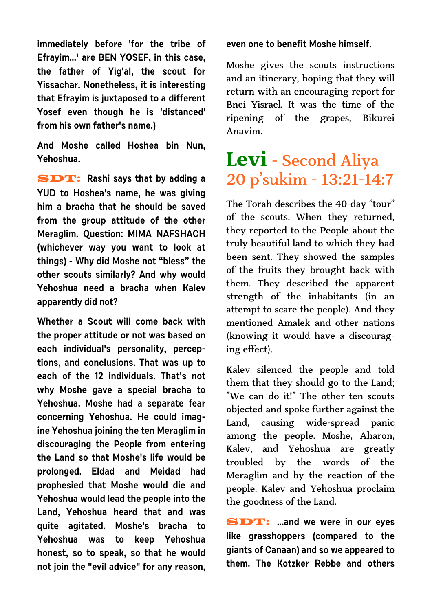**immediately before 'for the tribe of Efrayim...' are BEN YOSEF, in this case, the father of Yig'al, the scout for Yissachar. Nonetheless, it is interesting that Efrayim is juxtaposed to a different Yosef even though he is 'distanced' from his own father's name.)**

**And Moshe called Hoshea bin Nun, Yehoshua.**

SDT: **Rashi says that by adding a YUD to Hoshea's name, he was giving him a bracha that he should be saved from the group attitude of the other Meraglim. Question: MIMA NAFSHACH (whichever way you want to look at things) - Why did Moshe not "bless" the other scouts similarly? And why would Yehoshua need a bracha when Kalev apparently did not?** 

**Whether a Scout will come back with the proper attitude or not was based on each individual's personality, perceptions, and conclusions. That was up to each of the 12 individuals. That's not why Moshe gave a special bracha to Yehoshua. Moshe had a separate fear concerning Yehoshua. He could imagine Yehoshua joining the ten Meraglim in discouraging the People from entering the Land so that Moshe's life would be prolonged. Eldad and Meidad had prophesied that Moshe would die and Yehoshua would lead the people into the Land, Yehoshua heard that and was quite agitated. Moshe's bracha to Yehoshua was to keep Yehoshua honest, so to speak, so that he would not join the "evil advice" for any reason,** **even one to benefit Moshe himself.**

Moshe gives the scouts instructions and an itinerary, hoping that they will return with an encouraging report for Bnei Yisrael. It was the time of the ripening of the grapes, Bikurei Anavim.

### **Levi** - Second Aliya 20 p'sukim - 13:21-14:7

The Torah describes the 40-day "tour" of the scouts. When they returned, they reported to the People about the truly beautiful land to which they had been sent. They showed the samples of the fruits they brought back with them. They described the apparent strength of the inhabitants (in an attempt to scare the people). And they mentioned Amalek and other nations (knowing it would have a discouraging effect).

Kalev silenced the people and told them that they should go to the Land; "We can do it!" The other ten scouts objected and spoke further against the Land, causing wide-spread panic among the people. Moshe, Aharon, Kalev, and Yehoshua are greatly troubled by the words of the Meraglim and by the reaction of the people. Kalev and Yehoshua proclaim the goodness of the Land.

SDT: **...and we were in our eyes like grasshoppers (compared to the giants of Canaan) and so we appeared to them. The Kotzker Rebbe and others**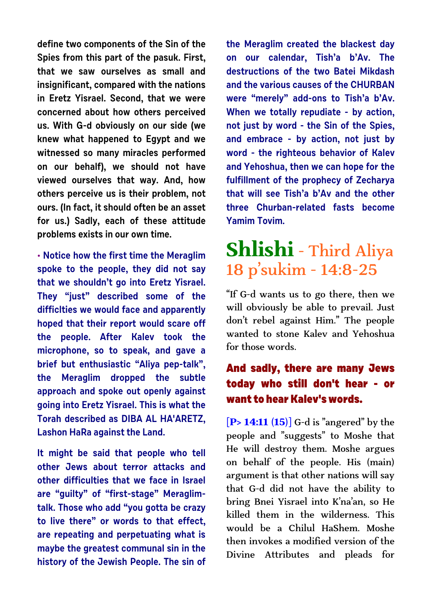**define two components of the Sin of the Spies from this part of the pasuk. First, that we saw ourselves as small and insignificant, compared with the nations in Eretz Yisrael. Second, that we were concerned about how others perceived us. With G-d obviously on our side (we knew what happened to Egypt and we witnessed so many miracles performed on our behalf), we should not have viewed ourselves that way. And, how others perceive us is their problem, not ours. (In fact, it should often be an asset for us.) Sadly, each of these attitude problems exists in our own time.**

**• Notice how the first time the Meraglim spoke to the people, they did not say that we shouldn't go into Eretz Yisrael. They "just" described some of the difficlties we would face and apparently hoped that their report would scare off the people. After Kalev took the microphone, so to speak, and gave a brief but enthusiastic "Aliya pep-talk", the Meraglim dropped the subtle approach and spoke out openly against going into Eretz Yisrael. This is what the Torah described as DIBA AL HA'ARETZ, Lashon HaRa against the Land.**

**It might be said that people who tell other Jews about terror attacks and other difficulties that we face in Israel are "guilty" of "first-stage" Meraglimtalk. Those who add "you gotta be crazy to live there" or words to that effect, are repeating and perpetuating what is maybe the greatest communal sin in the history of the Jewish People. The sin of** **the Meraglim created the blackest day on our calendar, Tish'a b'Av. The destructions of the two Batei Mikdash and the various causes of the CHURBAN were "merely" add-ons to Tish'a b'Av. When we totally repudiate - by action, not just by word - the Sin of the Spies, and embrace - by action, not just by word - the righteous behavior of Kalev and Yehoshua, then we can hope for the fulfillment of the prophecy of Zecharya that will see Tish'a b'Av and the other three Churban-related fasts become Yamim Tovim.**

# **Shlishi** - Third Aliya 18 p'sukim - 14:8-25

"If G-d wants us to go there, then we will obviously be able to prevail. Just don't rebel against Him." The people wanted to stone Kalev and Yehoshua for those words.

#### **And sadly, there are many Jews today who still don't hear - or want to hear Kalev's words.**

**[P> 14:11 (15)]** G-d is "angered" by the people and "suggests" to Moshe that He will destroy them. Moshe argues on behalf of the people. His (main) argument is that other nations will say that G-d did not have the ability to bring Bnei Yisrael into K'na'an, so He killed them in the wilderness. This would be a Chilul HaShem. Moshe then invokes a modified version of the Divine Attributes and pleads for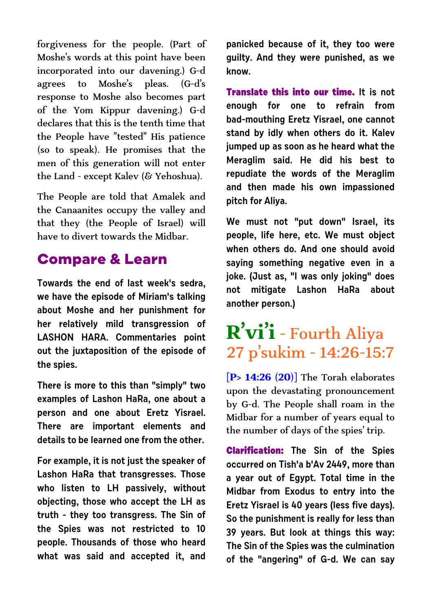forgiveness for the people. (Part of Moshe's words at this point have been incorporated into our davening.) G-d agrees to Moshe's pleas. (G-d's response to Moshe also becomes part of the Yom Kippur davening.) G-d declares that this is the tenth time that the People have "tested" His patience (so to speak). He promises that the men of this generation will not enter the Land - except Kalev (& Yehoshua).

The People are told that Amalek and the Canaanites occupy the valley and that they (the People of Israel) will have to divert towards the Midbar.

#### **Compare & Learn**

**Towards the end of last week's sedra, we have the episode of Miriam's talking about Moshe and her punishment for her relatively mild transgression of LASHON HARA. Commentaries point out the juxtaposition of the episode of the spies.** 

**There is more to this than "simply" two examples of Lashon HaRa, one about a person and one about Eretz Yisrael. There are important elements and details to be learned one from the other.** 

**For example, it is not just the speaker of Lashon HaRa that transgresses. Those who listen to LH passively, without objecting, those who accept the LH as truth - they too transgress. The Sin of the Spies was not restricted to 10 people. Thousands of those who heard what was said and accepted it, and**

**panicked because of it, they too were guilty. And they were punished, as we know.**

**Translate this into our time. It is not enough for one to refrain from bad-mouthing Eretz Yisrael, one cannot stand by idly when others do it. Kalev jumped up as soon as he heard what the Meraglim said. He did his best to repudiate the words of the Meraglim and then made his own impassioned pitch for Aliya.**

**We must not "put down" Israel, its people, life here, etc. We must object when others do. And one should avoid saying something negative even in a joke. (Just as, "I was only joking" does not mitigate Lashon HaRa about another person.)**

## **R'vi'i** - Fourth Aliya 27 p'sukim - 14:26-15:7

**[P> 14:26 (20)]** The Torah elaborates upon the devastating pronouncement by G-d. The People shall roam in the Midbar for a number of years equal to the number of days of the spies' trip.

**Clarification: The Sin of the Spies occurred on Tish'a b'Av 2449, more than a year out of Egypt. Total time in the Midbar from Exodus to entry into the Eretz Yisrael is 40 years (less five days). So the punishment is really for less than 39 years. But look at things this way: The Sin of the Spies was the culmination of the "angering" of G-d. We can say**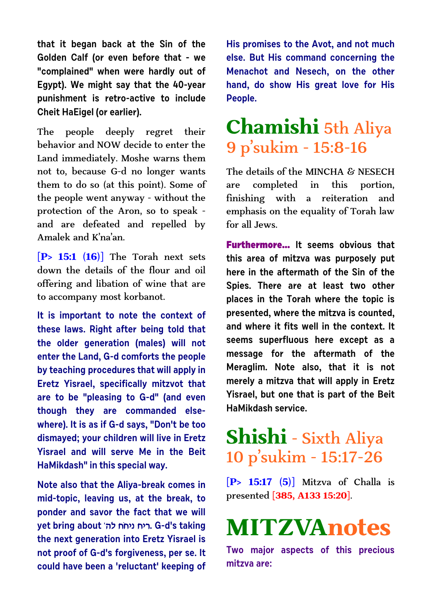**that it began back at the Sin of the Golden Calf (or even before that - we "complained" when were hardly out of Egypt). We might say that the 40-year punishment is retro-active to include Cheit HaEigel (or earlier).**

The people deeply regret their behavior and NOW decide to enter the Land immediately. Moshe warns them not to, because G-d no longer wants them to do so (at this point). Some of the people went anyway - without the protection of the Aron, so to speak and are defeated and repelled by Amalek and K'na'an.

**[P> 15:1 (16)]** The Torah next sets down the details of the flour and oil offering and libation of wine that are to accompany most korbanot.

**It is important to note the context of these laws. Right after being told that the older generation (males) will not enter the Land, G-d comforts the people by teaching procedures that will apply in Eretz Yisrael, specifically mitzvot that are to be "pleasing to G-d" (and even though they are commanded elsewhere). It is as if G-d says, "Don't be too dismayed; your children will live in Eretz Yisrael and will serve Me in the Beit HaMikdash" in this special way.**

**Note also that the Aliya-break comes in mid-topic, leaving us, at the break, to ponder and savor the fact that we will yet bring about 'dl gŸgip gix. G-d's taking the next generation into Eretz Yisrael is not proof of G-d's forgiveness, per se. It could have been a 'reluctant' keeping of** **His promises to the Avot, and not much else. But His command concerning the Menachot and Nesech, on the other hand, do show His great love for His People.**

## **Chamishi** 5th Aliya 9 p'sukim - 15:8-16

The details of the MINCHA & NESECH are completed in this portion, finishing with a reiteration and emphasis on the equality of Torah law for all Jews.

**Furthermore... It seems obvious that this area of mitzva was purposely put here in the aftermath of the Sin of the Spies. There are at least two other places in the Torah where the topic is presented, where the mitzva is counted, and where it fits well in the context. It seems superfluous here except as a message for the aftermath of the Meraglim. Note also, that it is not merely a mitzva that will apply in Eretz Yisrael, but one that is part of the Beit HaMikdash service.**

### **Shishi** - Sixth Aliya 10 p'sukim - 15:17-26

**[P> 15:17 (5)]** Mitzva of Challa is presented **[385, A133 15:20]**.

# **MITZVAnotes**

**Two major aspects of this precious mitzva are:**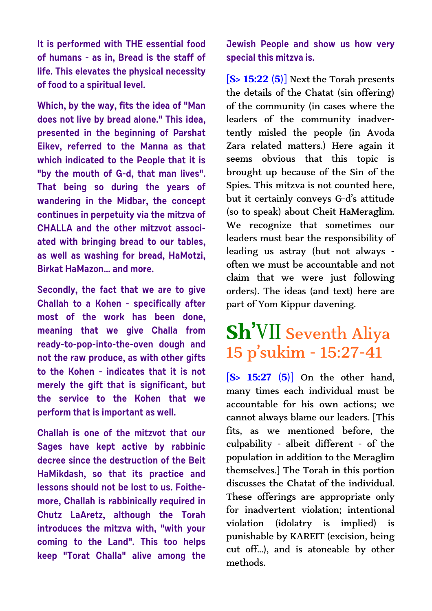**It is performed with THE essential food of humans - as in, Bread is the staff of life. This elevates the physical necessity of food to a spiritual level.**

**Which, by the way, fits the idea of "Man does not live by bread alone." This idea, presented in the beginning of Parshat Eikev, referred to the Manna as that which indicated to the People that it is "by the mouth of G-d, that man lives". That being so during the years of wandering in the Midbar, the concept continues in perpetuity via the mitzva of CHALLA and the other mitzvot associated with bringing bread to our tables, as well as washing for bread, HaMotzi, Birkat HaMazon... and more.**

**Secondly, the fact that we are to give Challah to a Kohen - specifically after most of the work has been done, meaning that we give Challa from ready-to-pop-into-the-oven dough and not the raw produce, as with other gifts to the Kohen - indicates that it is not merely the gift that is significant, but the service to the Kohen that we perform that is important as well.**

**Challah is one of the mitzvot that our Sages have kept active by rabbinic decree since the destruction of the Beit HaMikdash, so that its practice and lessons should not be lost to us. Foithemore, Challah is rabbinically required in Chutz LaAretz, although the Torah introduces the mitzva with, "with your coming to the Land". This too helps keep "Torat Challa" alive among the** **Jewish People and show us how very special this mitzva is.**

**[S> 15:22 (5)]** Next the Torah presents the details of the Chatat (sin offering) of the community (in cases where the leaders of the community inadvertently misled the people (in Avoda Zara related matters.) Here again it seems obvious that this topic is brought up because of the Sin of the Spies. This mitzva is not counted here, but it certainly conveys G-d's attitude (so to speak) about Cheit HaMeraglim. We recognize that sometimes our leaders must bear the responsibility of leading us astray (but not always often we must be accountable and not claim that we were just following orders). The ideas (and text) here are part of Yom Kippur davening.

### **Sh'**VII Seventh Aliya 15 p'sukim - 15:27-41

**[S> 15:27 (5)]** On the other hand, many times each individual must be accountable for his own actions; we cannot always blame our leaders. [This fits, as we mentioned before, the culpability - albeit different - of the population in addition to the Meraglim themselves.] The Torah in this portion discusses the Chatat of the individual. These offerings are appropriate only for inadvertent violation; intentional violation (idolatry is implied) is punishable by KAREIT (excision, being cut off...), and is atoneable by other methods.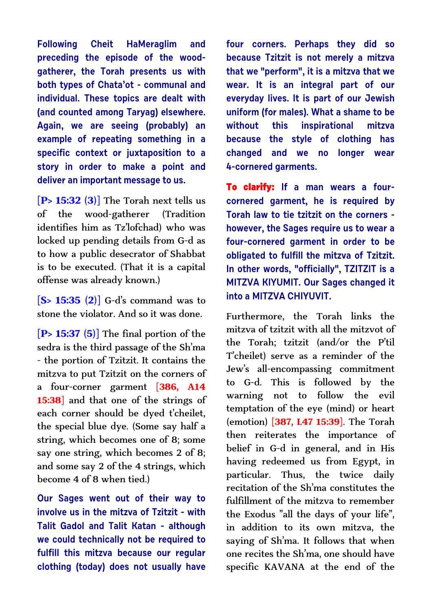**Following Cheit HaMeraglim and preceding the episode of the woodgatherer, the Torah presents us with both types of Chata'ot - communal and individual. These topics are dealt with (and counted among Taryag) elsewhere. Again, we are seeing (probably) an example of repeating something in a specific context or juxtaposition to a story in order to make a point and deliver an important message to us.**

**[P> 15:32 (3)]** The Torah next tells us of the wood-gatherer (Tradition identifies him as Tz'lofchad) who was locked up pending details from G-d as to how a public desecrator of Shabbat is to be executed. (That it is a capital offense was already known.)

**[S> 15:35 (2)]** G-d's command was to stone the violator. And so it was done.

**[P> 15:37 (5)]** The final portion of the sedra is the third passage of the Sh'ma - the portion of Tzitzit. It contains the mitzva to put Tzitzit on the corners of a four-corner garment **[386, A14 15:38]** and that one of the strings of each corner should be dyed t'cheilet, the special blue dye. (Some say half a string, which becomes one of 8; some say one string, which becomes 2 of 8; and some say 2 of the 4 strings, which become 4 of 8 when tied.)

**Our Sages went out of their way to involve us in the mitzva of Tzitzit - with Talit Gadol and Talit Katan - although we could technically not be required to fulfill this mitzva because our regular clothing (today) does not usually have** **four corners. Perhaps they did so because Tzitzit is not merely a mitzva that we "perform", it is a mitzva that we wear. It is an integral part of our everyday lives. It is part of our Jewish uniform (for males). What a shame to be without this inspirational mitzva because the style of clothing has changed and we no longer wear 4-cornered garments.** 

**To clarify: If a man wears a fourcornered garment, he is required by Torah law to tie tzitzit on the corners however, the Sages require us to wear a four-cornered garment in order to be obligated to fulfill the mitzva of Tzitzit. In other words, "officially", TZITZIT is a MITZVA KIYUMIT. Our Sages changed it into a MITZVA CHIVUVIT.** 

Furthermore, the Torah links the mitzva of tzitzit with all the mitzvot of the Torah; tzitzit (and/or the P'til T'cheilet) serve as a reminder of the Jew's all-encompassing commitment to G-d. This is followed by the warning not to follow the evil temptation of the eye (mind) or heart (emotion) **[387, L47 15:39]**. The Torah then reiterates the importance of belief in G-d in general, and in His having redeemed us from Egypt, in particular. Thus, the twice daily recitation of the Sh'ma constitutes the fulfillment of the mitzva to remember the Exodus "all the days of your life", in addition to its own mitzva, the saying of Sh'ma. It follows that when one recites the Sh'ma, one should have specific KAVANA at the end of the